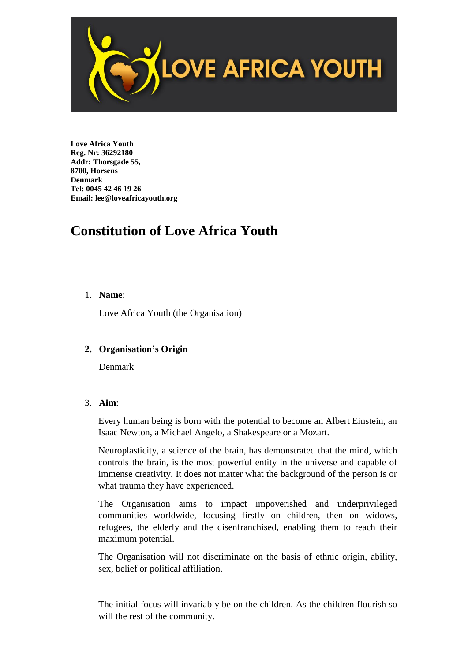

**Love Africa Youth Reg. Nr: 36292180 Addr: Thorsgade 55, 8700, Horsens Denmark Tel: 0045 42 46 19 26 Email: lee@loveafricayouth.org**

# **Constitution of Love Africa Youth**

# 1. **Name**:

Love Africa Youth (the Organisation)

# **2. Organisation's Origin**

Denmark

### 3. **Aim**:

Every human being is born with the potential to become an Albert Einstein, an Isaac Newton, a Michael Angelo, a Shakespeare or a Mozart.

Neuroplasticity, a science of the brain, has demonstrated that the mind, which controls the brain, is the most powerful entity in the universe and capable of immense creativity. It does not matter what the background of the person is or what trauma they have experienced.

The Organisation aims to impact impoverished and underprivileged communities worldwide, focusing firstly on children, then on widows, refugees, the elderly and the disenfranchised, enabling them to reach their maximum potential.

The Organisation will not discriminate on the basis of ethnic origin, ability, sex, belief or political affiliation.

The initial focus will invariably be on the children. As the children flourish so will the rest of the community.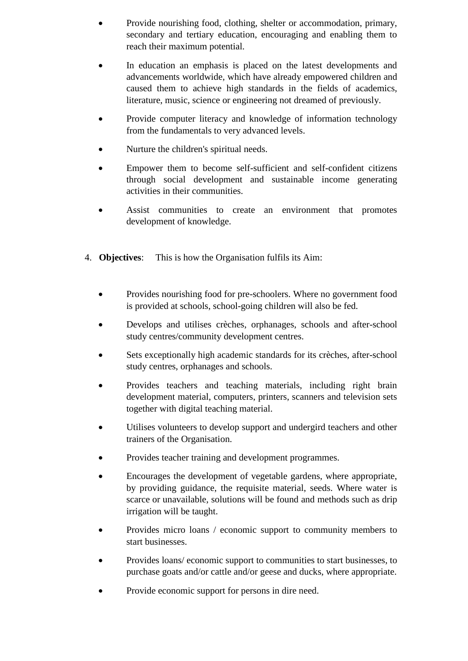- Provide nourishing food, clothing, shelter or accommodation, primary, secondary and tertiary education, encouraging and enabling them to reach their maximum potential.
- In education an emphasis is placed on the latest developments and advancements worldwide, which have already empowered children and caused them to achieve high standards in the fields of academics, literature, music, science or engineering not dreamed of previously.
- Provide computer literacy and knowledge of information technology from the fundamentals to very advanced levels.
- Nurture the children's spiritual needs.
- Empower them to become self-sufficient and self-confident citizens through social development and sustainable income generating activities in their communities.
- Assist communities to create an environment that promotes development of knowledge.
- 4. **Objectives**: This is how the Organisation fulfils its Aim:
	- Provides nourishing food for pre-schoolers. Where no government food is provided at schools, school-going children will also be fed.
	- Develops and utilises crèches, orphanages, schools and after-school study centres/community development centres.
	- Sets exceptionally high academic standards for its crèches, after-school study centres, orphanages and schools.
	- Provides teachers and teaching materials, including right brain development material, computers, printers, scanners and television sets together with digital teaching material.
	- Utilises volunteers to develop support and undergird teachers and other trainers of the Organisation.
	- Provides teacher training and development programmes.
	- Encourages the development of vegetable gardens, where appropriate, by providing guidance, the requisite material, seeds. Where water is scarce or unavailable, solutions will be found and methods such as drip irrigation will be taught.
	- Provides micro loans / economic support to community members to start businesses.
	- Provides loans/ economic support to communities to start businesses, to purchase goats and/or cattle and/or geese and ducks, where appropriate.
	- Provide economic support for persons in dire need.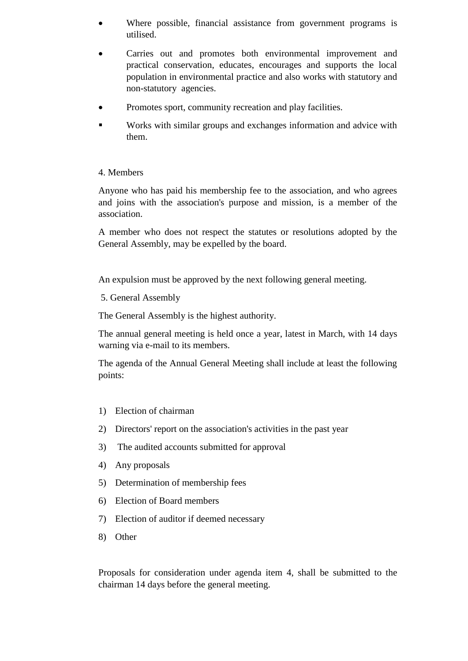- Where possible, financial assistance from government programs is utilised.
- Carries out and promotes both environmental improvement and practical conservation, educates, encourages and supports the local population in environmental practice and also works with statutory and non-statutory agencies.
- Promotes sport, community recreation and play facilities.
- Works with similar groups and exchanges information and advice with them.

# 4. Members

Anyone who has paid his membership fee to the association, and who agrees and joins with the association's purpose and mission, is a member of the association.

A member who does not respect the statutes or resolutions adopted by the General Assembly, may be expelled by the board.

An expulsion must be approved by the next following general meeting.

5. General Assembly

The General Assembly is the highest authority.

The annual general meeting is held once a year, latest in March, with 14 days warning via e-mail to its members.

The agenda of the Annual General Meeting shall include at least the following points:

- 1) Election of chairman
- 2) Directors' report on the association's activities in the past year
- 3) The audited accounts submitted for approval
- 4) Any proposals
- 5) Determination of membership fees
- 6) Election of Board members
- 7) Election of auditor if deemed necessary
- 8) Other

Proposals for consideration under agenda item 4, shall be submitted to the chairman 14 days before the general meeting.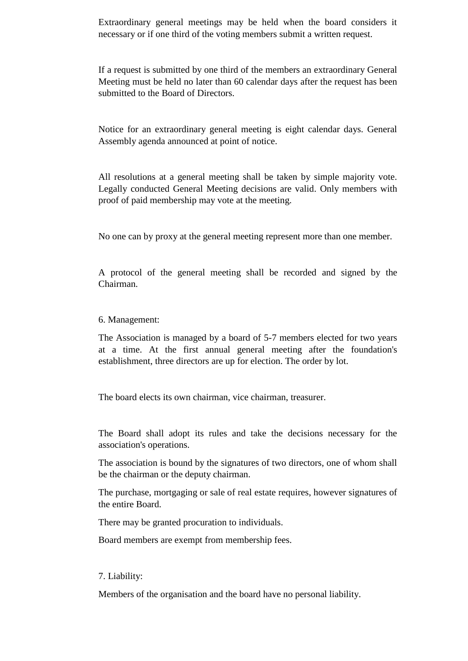Extraordinary general meetings may be held when the board considers it necessary or if one third of the voting members submit a written request.

If a request is submitted by one third of the members an extraordinary General Meeting must be held no later than 60 calendar days after the request has been submitted to the Board of Directors.

Notice for an extraordinary general meeting is eight calendar days. General Assembly agenda announced at point of notice.

All resolutions at a general meeting shall be taken by simple majority vote. Legally conducted General Meeting decisions are valid. Only members with proof of paid membership may vote at the meeting.

No one can by proxy at the general meeting represent more than one member.

A protocol of the general meeting shall be recorded and signed by the Chairman.

#### 6. Management:

The Association is managed by a board of 5-7 members elected for two years at a time. At the first annual general meeting after the foundation's establishment, three directors are up for election. The order by lot.

The board elects its own chairman, vice chairman, treasurer.

The Board shall adopt its rules and take the decisions necessary for the association's operations.

The association is bound by the signatures of two directors, one of whom shall be the chairman or the deputy chairman.

The purchase, mortgaging or sale of real estate requires, however signatures of the entire Board.

There may be granted procuration to individuals.

Board members are exempt from membership fees.

#### 7. Liability:

Members of the organisation and the board have no personal liability.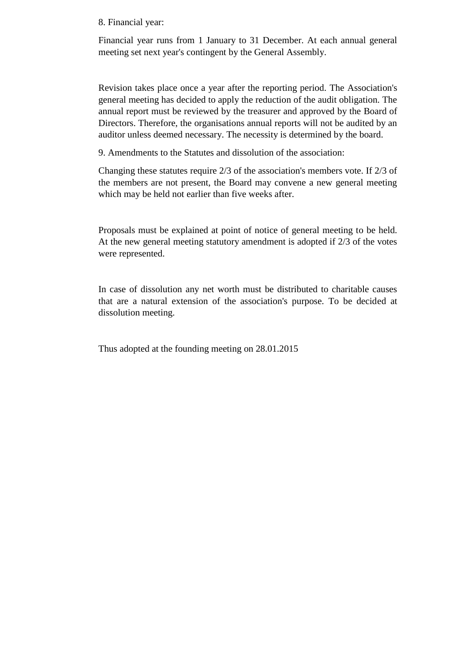#### 8. Financial year:

Financial year runs from 1 January to 31 December. At each annual general meeting set next year's contingent by the General Assembly.

Revision takes place once a year after the reporting period. The Association's general meeting has decided to apply the reduction of the audit obligation. The annual report must be reviewed by the treasurer and approved by the Board of Directors. Therefore, the organisations annual reports will not be audited by an auditor unless deemed necessary. The necessity is determined by the board.

9. Amendments to the Statutes and dissolution of the association:

Changing these statutes require 2/3 of the association's members vote. If 2/3 of the members are not present, the Board may convene a new general meeting which may be held not earlier than five weeks after.

Proposals must be explained at point of notice of general meeting to be held. At the new general meeting statutory amendment is adopted if 2/3 of the votes were represented.

In case of dissolution any net worth must be distributed to charitable causes that are a natural extension of the association's purpose. To be decided at dissolution meeting.

Thus adopted at the founding meeting on 28.01.2015